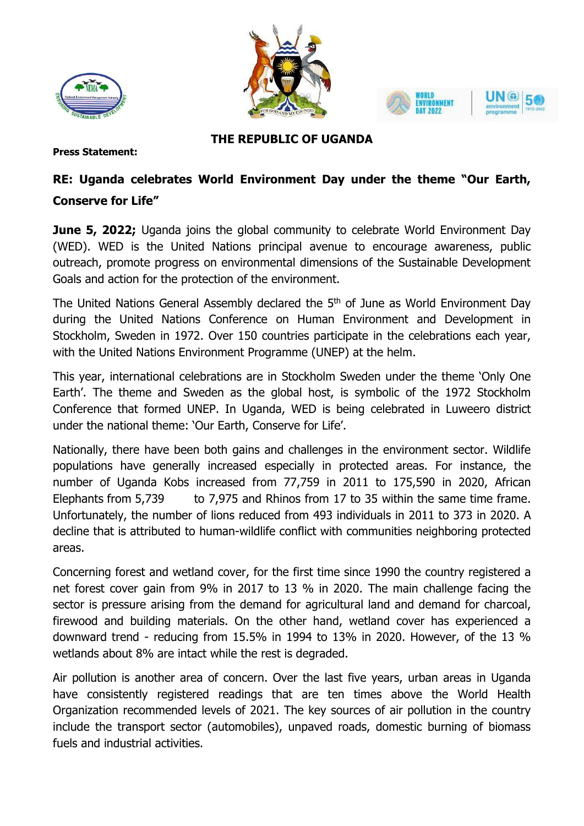





## **THE REPUBLIC OF UGANDA**

**Press Statement:**

## **RE: Uganda celebrates World Environment Day under the theme "Our Earth, Conserve for Life"**

**June 5, 2022;** Uganda joins the global community to celebrate World Environment Day (WED). WED is the United Nations principal avenue to encourage awareness, public outreach, promote progress on environmental dimensions of the Sustainable Development Goals and action for the protection of the environment.

The United Nations General Assembly declared the 5<sup>th</sup> of June as World Environment Day during the United Nations Conference on Human Environment and Development in Stockholm, Sweden in 1972. Over 150 countries participate in the celebrations each year, with the United Nations Environment Programme (UNEP) at the helm.

This year, international celebrations are in Stockholm Sweden under the theme 'Only One Earth'. The theme and Sweden as the global host, is symbolic of the 1972 Stockholm Conference that formed UNEP. In Uganda, WED is being celebrated in Luweero district under the national theme: 'Our Earth, Conserve for Life'.

Nationally, there have been both gains and challenges in the environment sector. Wildlife populations have generally increased especially in protected areas. For instance, the number of Uganda Kobs increased from 77,759 in 2011 to 175,590 in 2020, African Elephants from 5,739 to 7,975 and Rhinos from 17 to 35 within the same time frame. Unfortunately, the number of lions reduced from 493 individuals in 2011 to 373 in 2020. A decline that is attributed to human-wildlife conflict with communities neighboring protected areas.

Concerning forest and wetland cover, for the first time since 1990 the country registered a net forest cover gain from 9% in 2017 to 13 % in 2020. The main challenge facing the sector is pressure arising from the demand for agricultural land and demand for charcoal, firewood and building materials. On the other hand, wetland cover has experienced a downward trend - reducing from 15.5% in 1994 to 13% in 2020. However, of the 13 % wetlands about 8% are intact while the rest is degraded.

Air pollution is another area of concern. Over the last five years, urban areas in Uganda have consistently registered readings that are ten times above the World Health Organization recommended levels of 2021. The key sources of air pollution in the country include the transport sector (automobiles), unpaved roads, domestic burning of biomass fuels and industrial activities.